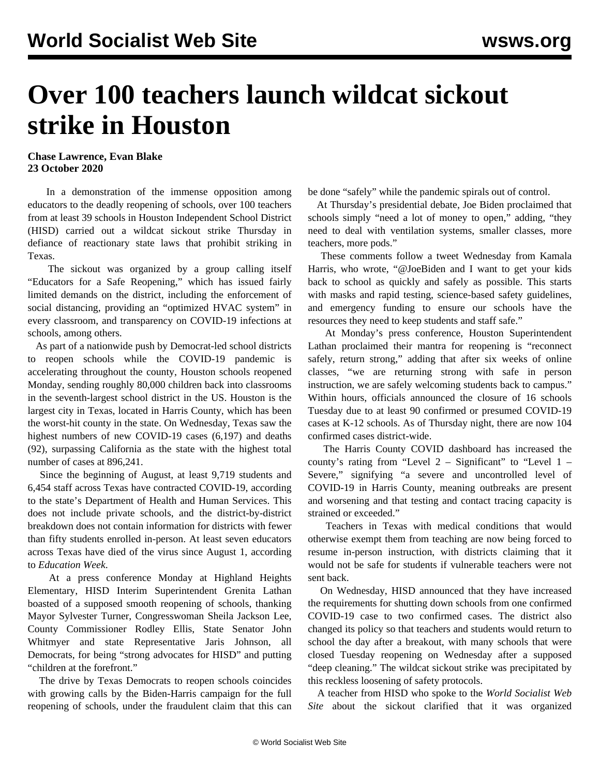## **Over 100 teachers launch wildcat sickout strike in Houston**

**Chase Lawrence, Evan Blake 23 October 2020**

 In a demonstration of the immense opposition among educators to the deadly reopening of schools, over 100 teachers from at least 39 schools in Houston Independent School District (HISD) carried out a wildcat sickout strike Thursday in defiance of reactionary state laws that prohibit striking in Texas.

 The sickout was organized by a group calling itself "Educators for a Safe Reopening," which has issued fairly limited demands on the district, including the enforcement of social distancing, providing an "optimized HVAC system" in every classroom, and transparency on COVID-19 infections at schools, among others.

 As part of a [nationwide push](/en/articles/2020/10/20/scho-o20.html) by Democrat-led school districts to reopen schools while the COVID-19 pandemic is accelerating throughout the county, [Houston schools reopened](/en/articles/2020/10/22/hous-o22.html) [Monday](/en/articles/2020/10/22/hous-o22.html), sending roughly 80,000 children back into classrooms in the seventh-largest school district in the US. Houston is the largest city in Texas, located in Harris County, which has been the worst-hit county in the state. On Wednesday, Texas saw the highest numbers of new COVID-19 cases (6,197) and deaths (92), surpassing California as the state with the highest total number of cases at 896,241.

 Since the beginning of August, at least 9,719 students and 6,454 staff across Texas have contracted COVID-19, according to the state's Department of Health and Human Services. This does not include private schools, and the district-by-district breakdown does not contain information for districts with fewer than fifty students enrolled in-person. At least seven educators across Texas have died of the virus since August 1, according to *Education Week*.

 At a press conference Monday at Highland Heights Elementary, HISD Interim Superintendent Grenita Lathan boasted of a supposed smooth reopening of schools, thanking Mayor Sylvester Turner, Congresswoman Sheila Jackson Lee, County Commissioner Rodley Ellis, State Senator John Whitmyer and state Representative Jaris Johnson, all Democrats, for being "strong advocates for HISD" and putting "children at the forefront."

 The drive by Texas Democrats to reopen schools coincides with growing calls by the Biden-Harris campaign for the full reopening of schools, under the fraudulent claim that this can be done "safely" while the pandemic spirals out of control.

 At Thursday's presidential debate, Joe Biden proclaimed that schools simply "need a lot of money to open," adding, "they need to deal with ventilation systems, smaller classes, more teachers, more pods."

 These comments follow a tweet Wednesday from Kamala Harris, who wrote, "@JoeBiden and I want to get your kids back to school as quickly and safely as possible. This starts with masks and rapid testing, science-based safety guidelines, and emergency funding to ensure our schools have the resources they need to keep students and staff safe."

 At Monday's press conference, Houston Superintendent Lathan proclaimed their mantra for reopening is "reconnect safely, return strong," adding that after six weeks of online classes, "we are returning strong with safe in person instruction, we are safely welcoming students back to campus." Within hours, officials announced the closure of 16 schools Tuesday due to at least 90 confirmed or presumed COVID-19 cases at K-12 schools. As of Thursday night, there are now 104 confirmed cases district-wide.

 The Harris County COVID dashboard has increased the county's rating from "Level  $2$  – Significant" to "Level  $1$  – Severe," signifying "a severe and uncontrolled level of COVID-19 in Harris County, meaning outbreaks are present and worsening and that testing and contact tracing capacity is strained or exceeded."

 Teachers in Texas with medical conditions that would otherwise exempt them from teaching are now being forced to resume in-person instruction, with districts claiming that it would not be safe for students if vulnerable teachers were not sent back.

 On Wednesday, HISD announced that they have increased the requirements for shutting down schools from one confirmed COVID-19 case to two confirmed cases. The district also changed its policy so that teachers and students would return to school the day after a breakout, with many schools that were closed Tuesday reopening on Wednesday after a supposed "deep cleaning." The wildcat sickout strike was precipitated by this reckless loosening of safety protocols.

 A teacher from HISD who spoke to the *World Socialist Web Site* about the sickout clarified that it was organized